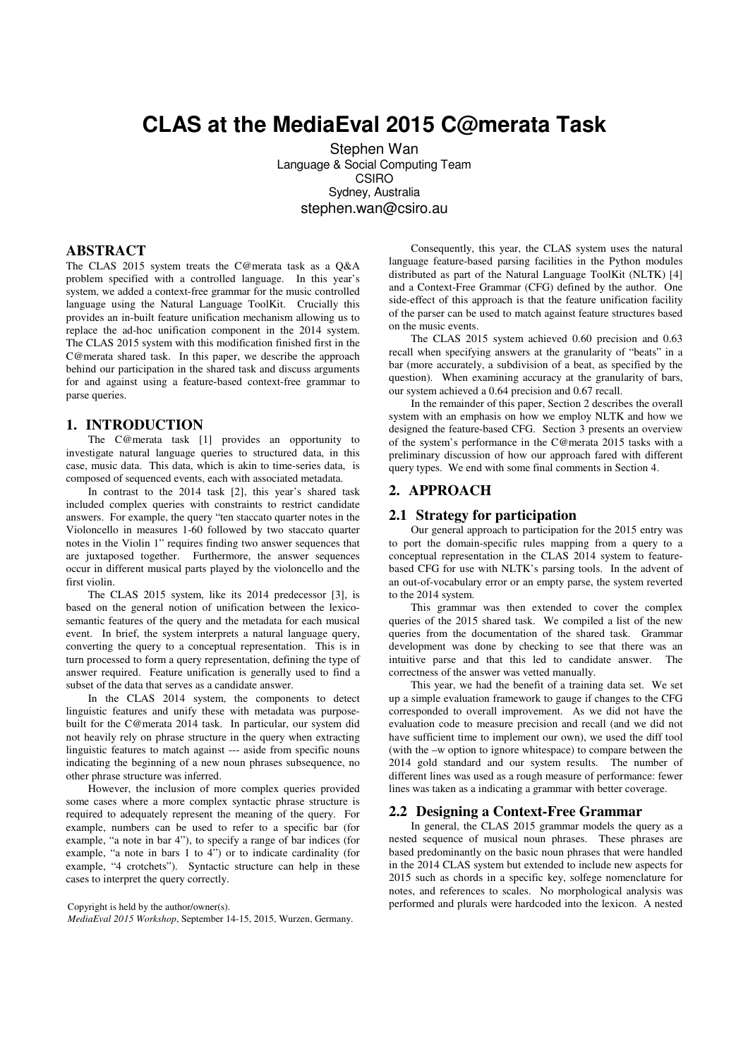# **CLAS at the MediaEval 2015 C@merata Task**

 Stephen Wan Language & Social Computing Team CSIRO Sydney, Australia stephen.wan@csiro.au

# **ABSTRACT**

The CLAS 2015 system treats the C@merata task as a Q&A problem specified with a controlled language. In this year's system, we added a context-free grammar for the music controlled language using the Natural Language ToolKit. Crucially this provides an in-built feature unification mechanism allowing us to replace the ad-hoc unification component in the 2014 system. The CLAS 2015 system with this modification finished first in the C@merata shared task. In this paper, we describe the approach behind our participation in the shared task and discuss arguments for and against using a feature-based context-free grammar to parse queries.

# **1. INTRODUCTION**

The C@merata task [1] provides an opportunity to investigate natural language queries to structured data, in this case, music data. This data, which is akin to time-series data, is composed of sequenced events, each with associated metadata.

In contrast to the 2014 task [2], this year's shared task included complex queries with constraints to restrict candidate answers. For example, the query "ten staccato quarter notes in the Violoncello in measures 1-60 followed by two staccato quarter notes in the Violin 1" requires finding two answer sequences that are juxtaposed together. Furthermore, the answer sequences occur in different musical parts played by the violoncello and the first violin.

The CLAS 2015 system, like its 2014 predecessor [3], is based on the general notion of unification between the lexicosemantic features of the query and the metadata for each musical event. In brief, the system interprets a natural language query, converting the query to a conceptual representation. This is in turn processed to form a query representation, defining the type of answer required. Feature unification is generally used to find a subset of the data that serves as a candidate answer.

In the CLAS 2014 system, the components to detect linguistic features and unify these with metadata was purposebuilt for the C@merata 2014 task. In particular, our system did not heavily rely on phrase structure in the query when extracting linguistic features to match against --- aside from specific nouns indicating the beginning of a new noun phrases subsequence, no other phrase structure was inferred.

However, the inclusion of more complex queries provided some cases where a more complex syntactic phrase structure is required to adequately represent the meaning of the query. For example, numbers can be used to refer to a specific bar (for example, "a note in bar 4"), to specify a range of bar indices (for example, "a note in bars 1 to 4") or to indicate cardinality (for example, "4 crotchets"). Syntactic structure can help in these cases to interpret the query correctly.

*MediaEval 2015 Workshop*, September 14-15, 2015, Wurzen, Germany.

Consequently, this year, the CLAS system uses the natural language feature-based parsing facilities in the Python modules distributed as part of the Natural Language ToolKit (NLTK) [4] and a Context-Free Grammar (CFG) defined by the author. One side-effect of this approach is that the feature unification facility of the parser can be used to match against feature structures based on the music events.

The CLAS 2015 system achieved 0.60 precision and 0.63 recall when specifying answers at the granularity of "beats" in a bar (more accurately, a subdivision of a beat, as specified by the question). When examining accuracy at the granularity of bars, our system achieved a 0.64 precision and 0.67 recall.

In the remainder of this paper, Section 2 describes the overall system with an emphasis on how we employ NLTK and how we designed the feature-based CFG. Section 3 presents an overview of the system's performance in the C@merata 2015 tasks with a preliminary discussion of how our approach fared with different query types. We end with some final comments in Section 4.

# **2. APPROACH**

## **2.1 Strategy for participation**

Our general approach to participation for the 2015 entry was to port the domain-specific rules mapping from a query to a conceptual representation in the CLAS 2014 system to featurebased CFG for use with NLTK's parsing tools. In the advent of an out-of-vocabulary error or an empty parse, the system reverted to the 2014 system.

This grammar was then extended to cover the complex queries of the 2015 shared task. We compiled a list of the new queries from the documentation of the shared task. Grammar development was done by checking to see that there was an intuitive parse and that this led to candidate answer. The correctness of the answer was vetted manually.

This year, we had the benefit of a training data set. We set up a simple evaluation framework to gauge if changes to the CFG corresponded to overall improvement. As we did not have the evaluation code to measure precision and recall (and we did not have sufficient time to implement our own), we used the diff tool (with the –w option to ignore whitespace) to compare between the 2014 gold standard and our system results. The number of different lines was used as a rough measure of performance: fewer lines was taken as a indicating a grammar with better coverage.

#### **2.2 Designing a Context-Free Grammar**

In general, the CLAS 2015 grammar models the query as a nested sequence of musical noun phrases. These phrases are based predominantly on the basic noun phrases that were handled in the 2014 CLAS system but extended to include new aspects for 2015 such as chords in a specific key, solfege nomenclature for notes, and references to scales. No morphological analysis was Copyright is held by the author/owner(s). performed and plurals were hardcoded into the lexicon. A nested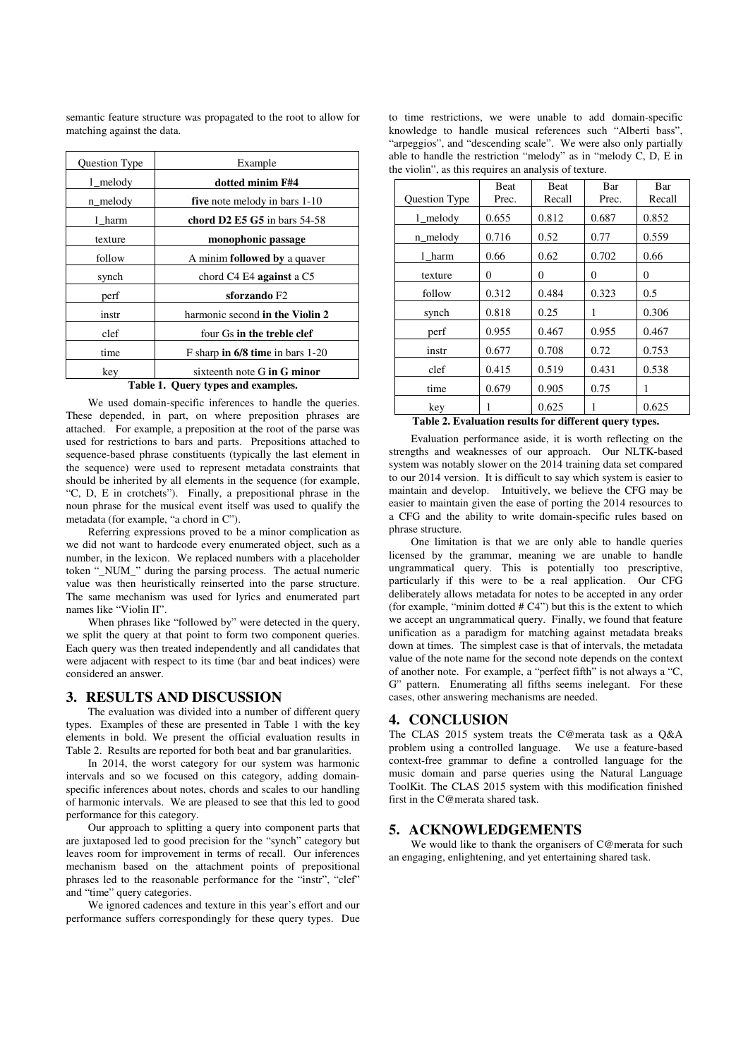semantic feature structure was propagated to the root to allow for matching against the data.

| Question Type                       | Example                            |  |  |
|-------------------------------------|------------------------------------|--|--|
| $1$ melody                          | dotted minim F#4                   |  |  |
| n_melody                            | five note melody in bars 1-10      |  |  |
| 1 harm                              | chord D2 E5 G5 in bars $54-58$     |  |  |
| texture                             | monophonic passage                 |  |  |
| follow                              | A minim followed by a quaver       |  |  |
| synch                               | chord $C4$ E4 against a $C5$       |  |  |
| perf                                | sforzando F2                       |  |  |
| instr                               | harmonic second in the Violin 2    |  |  |
| clef                                | four Gs in the treble clef         |  |  |
| time                                | F sharp in $6/8$ time in bars 1-20 |  |  |
| key                                 | sixteenth note G in G minor        |  |  |
| Toble 1<br>Augry types and evamples |                                    |  |  |

#### **Table 1. Query types and examples.**

We used domain-specific inferences to handle the queries. These depended, in part, on where preposition phrases are attached. For example, a preposition at the root of the parse was used for restrictions to bars and parts. Prepositions attached to sequence-based phrase constituents (typically the last element in the sequence) were used to represent metadata constraints that should be inherited by all elements in the sequence (for example, "C, D, E in crotchets"). Finally, a prepositional phrase in the noun phrase for the musical event itself was used to qualify the metadata (for example, "a chord in C").

Referring expressions proved to be a minor complication as we did not want to hardcode every enumerated object, such as a number, in the lexicon. We replaced numbers with a placeholder token "\_NUM\_" during the parsing process. The actual numeric value was then heuristically reinserted into the parse structure. The same mechanism was used for lyrics and enumerated part names like "Violin II".

When phrases like "followed by" were detected in the query, we split the query at that point to form two component queries. Each query was then treated independently and all candidates that were adjacent with respect to its time (bar and beat indices) were considered an answer.

#### **3. RESULTS AND DISCUSSION**

The evaluation was divided into a number of different query types. Examples of these are presented in Table 1 with the key elements in bold. We present the official evaluation results in Table 2. Results are reported for both beat and bar granularities.

In 2014, the worst category for our system was harmonic intervals and so we focused on this category, adding domainspecific inferences about notes, chords and scales to our handling of harmonic intervals. We are pleased to see that this led to good performance for this category.

Our approach to splitting a query into component parts that are juxtaposed led to good precision for the "synch" category but leaves room for improvement in terms of recall. Our inferences mechanism based on the attachment points of prepositional phrases led to the reasonable performance for the "instr", "clef" and "time" query categories.

We ignored cadences and texture in this year's effort and our performance suffers correspondingly for these query types. Due

to time restrictions, we were unable to add domain-specific knowledge to handle musical references such "Alberti bass", "arpeggios", and "descending scale". We were also only partially able to handle the restriction "melody" as in "melody C, D, E in the violin", as this requires an analysis of texture.

|               | Beat  | Beat   | Bar      | Bar    |
|---------------|-------|--------|----------|--------|
| Question Type | Prec. | Recall | Prec.    | Recall |
| $1$ melody    | 0.655 | 0.812  | 0.687    | 0.852  |
| n_melody      | 0.716 | 0.52   | 0.77     | 0.559  |
| 1 harm        | 0.66  | 0.62   | 0.702    | 0.66   |
| texture       | 0     | 0      | $\Omega$ | 0      |
| follow        | 0.312 | 0.484  | 0.323    | 0.5    |
| synch         | 0.818 | 0.25   | 1        | 0.306  |
| perf          | 0.955 | 0.467  | 0.955    | 0.467  |
| instr         | 0.677 | 0.708  | 0.72     | 0.753  |
| clef          | 0.415 | 0.519  | 0.431    | 0.538  |
| time          | 0.679 | 0.905  | 0.75     | 1      |
| key           | 1     | 0.625  | 1        | 0.625  |

**Table 2. Evaluation results for different query types.** 

Evaluation performance aside, it is worth reflecting on the strengths and weaknesses of our approach. Our NLTK-based system was notably slower on the 2014 training data set compared to our 2014 version. It is difficult to say which system is easier to maintain and develop. Intuitively, we believe the CFG may be easier to maintain given the ease of porting the 2014 resources to a CFG and the ability to write domain-specific rules based on phrase structure.

One limitation is that we are only able to handle queries licensed by the grammar, meaning we are unable to handle ungrammatical query. This is potentially too prescriptive, particularly if this were to be a real application. Our CFG deliberately allows metadata for notes to be accepted in any order (for example, "minim dotted  $# C4$ ") but this is the extent to which we accept an ungrammatical query. Finally, we found that feature unification as a paradigm for matching against metadata breaks down at times. The simplest case is that of intervals, the metadata value of the note name for the second note depends on the context of another note. For example, a "perfect fifth" is not always a "C, G" pattern. Enumerating all fifths seems inelegant. For these cases, other answering mechanisms are needed.

# **4. CONCLUSION**

The CLAS 2015 system treats the C@merata task as a Q&A problem using a controlled language. We use a feature-based context-free grammar to define a controlled language for the music domain and parse queries using the Natural Language ToolKit. The CLAS 2015 system with this modification finished first in the C@merata shared task.

### **5. ACKNOWLEDGEMENTS**

We would like to thank the organisers of C@merata for such an engaging, enlightening, and yet entertaining shared task.